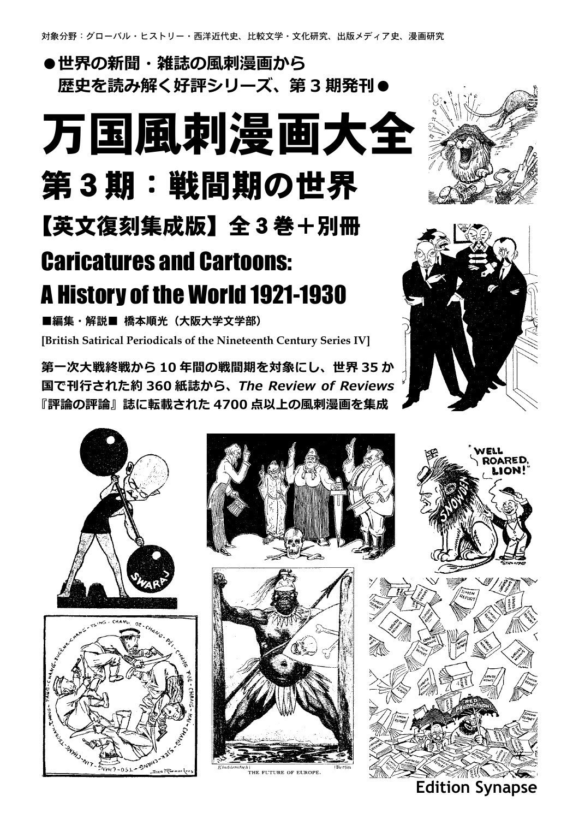#### **●世界の新聞・雑誌の風刺漫画から 歴史を読み解く好評シリーズ、第 3 期発刊●**

# 万国風刺漫画大全 第3期:戦間期の世界 【英文復刻集成版】全3巻+別冊

### Caricatures and Cartoons: A History of the World 1921-1930

■編集·解説■ 橋本順光 (大阪大学文学部) **[British Satirical Periodicals of the Nineteenth Century Series IV]**

**第一次大戦終戦から 10 年間の戦間期を対象にし、世界 35 か 国で刊行された約 360 紙誌から、***The Review of Reviews* **『評論の評論』誌に転載された 4700 点以上の風刺漫画を集成**













**ZOARED,** 



**Edition Synapse**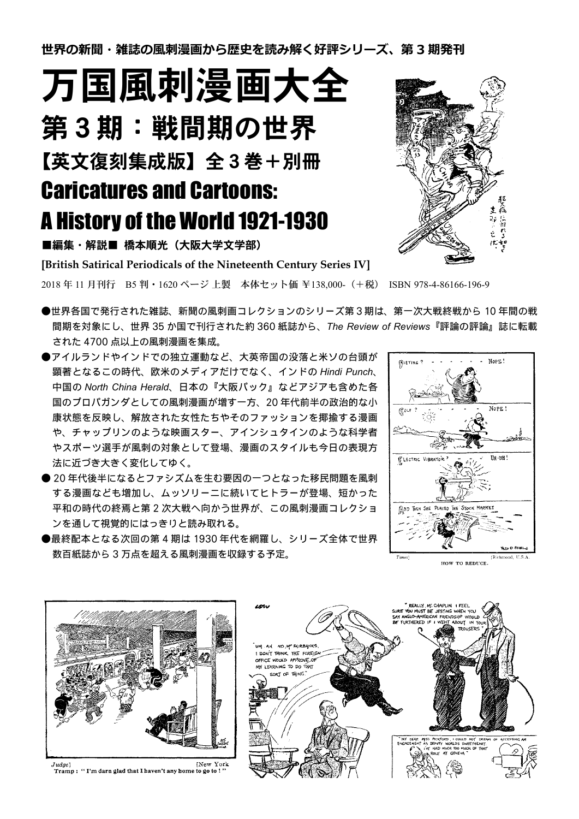**世界の新聞・雑誌の風刺漫画から歴史を読み解く好評シリーズ、第 3 期発刊**

万国風刺漫画大全 第3期:戦間期の世界 【英文復刻集成版】全3巻+別冊 Caricatures and Cartoons: A History of the World 1921-1930

■編集・解説■ 橋本順光 (大阪大学文学部)

**[British Satirical Periodicals of the Nineteenth Century Series IV]**

2018 年 11 月刊行 B5 判・ 1620 ページ 上製 本体セット価 ¥138,000-(+税) ISBN 978-4-86166-196-9

- ●世界各国で発行された雑誌、新聞の風刺画コレクションのシリーズ第3期は、第一次大戦終戦から 10 年間の戦 間期を対象にし、世界 35 か国で刊行された約 360 紙誌から、*The Review of Reviews*『評論の評論』誌に転載 された 4700 点以上の風刺漫画を集成。
- ●アイルランドやインドでの独立運動など、大英帝国の没落と米ソの台頭が 顕著となるこの時代、欧米のメディアだけでなく、インドの *Hindi Punch*、 中国の *North China Herald*、日本の『大阪パック』などアジアも含めた各 国のプロパガンダとしての風刺漫画が増す一方、20 年代前半の政治的な小 康状態を反映し、解放された女性たちやそのファッションを揶揄する漫画 や、チャップリンのような映画スター、アインシュタインのような科学者 やスポーツ選手が風刺の対象として登場、漫画のスタイルも今日の表現方 法に近づき大きく変化してゆく。
- 20 年代後半になるとファシズムを生む要因の一つとなった移民問題を風刺 する漫画なども増加し、ムッソリーニに続いてヒトラーが登場、短かった 平和の時代の終焉と第 2 次大戦へ向かう世界が、この風刺漫画コレクショ ンを通して視覚的にはっきりと読み取れる。
- ●最終配本となる次回の第 4 期は 1930 年代を網羅し、シリーズ全体で世界 数百紙誌から 3 万点を超える風刺漫画を収録する予定。







[New York  $Judge$ ] [New Youdge]  $\blacksquare$ 

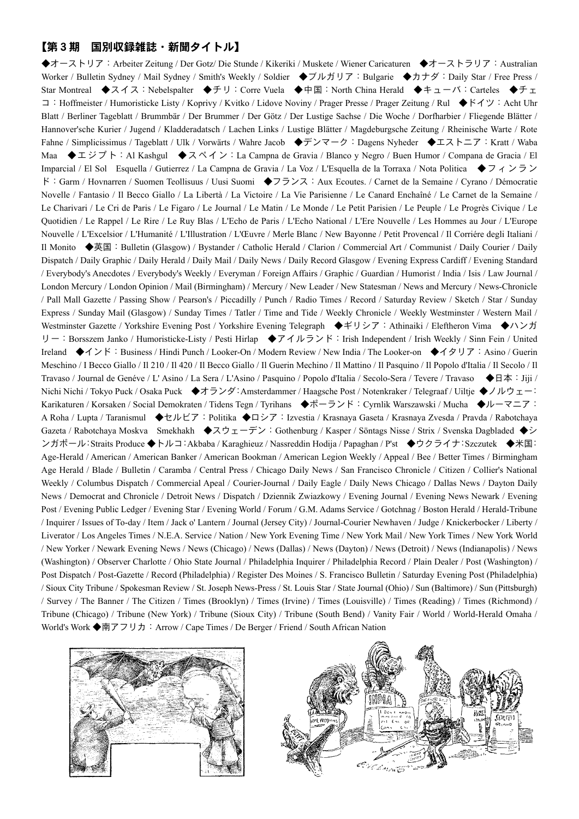#### 【第3期 国別収録雑誌・新聞タイトル】

◆オーストリア: Arbeiter Zeitung / Der Gotz/ Die Stunde / Kikeriki / Muskete / Wiener Caricaturen ◆オーストラリア: Australian Worker / Bulletin Sydney / Mail Sydney / Smith's Weekly / Soldier ◆ブルガリア: Bulgarie ◆カナダ: Daily Star / Free Press / Star Montreal ◆スイス: Nebelspalter ◆チリ: Corre Vuela ◆中国: North China Herald ◆キューバ: Carteles ◆チェ コ:Hoffmeister / Humoristicke Listy / Koprivy / Kvitko / Lidove Noviny / Prager Presse / Prager Zeitung / Rul ◆ドイツ:Acht Uhr Blatt / Berliner Tageblatt / Brummbär / Der Brummer / Der Götz / Der Lustige Sachse / Die Woche / Dorfharbier / Fliegende Blätter / Hannover'sche Kurier / Jugend / Kladderadatsch / Lachen Links / Lustige Blätter / Magdeburgsche Zeitung / Rheinische Warte / Rote Fahne / Simplicissimus / Tageblatt / Ulk / Vorwärts / Wahre Jacob ◆デンマーク:Dagens Nyheder ◆エストニア:Kratt / Waba Maa ◆エジプト:Al Kashgul ◆スペイン:La Campna de Gravia / Blanco y Negro / Buen Humor / Compana de Gracia / El Imparcial / El Sol Esquella / Gutierrez / La Campna de Gravia / La Voz / L'Esquella de la Torraxa / Nota Politica ◆フィンラン ド:Garm / Hovnarren / Suomen Teollisuus / Uusi Suomi ◆フランス:Aux Ecoutes. / Carnet de la Semaine / Cyrano / Démocratie Novelle / Fantasio / Il Becco Giallo / La Libertà / La Victoire / La Vie Parisienne / Le Canard Enchaîné / Le Carnet de la Semaine / Le Charivari / Le Cri de Paris / Le Figaro / Le Journal / Le Matin / Le Monde / Le Petit Parisien / Le Peuple / Le Progrès Civique / Le Quotidien / Le Rappel / Le Rire / Le Ruy Blas / L'Echo de Paris / L'Echo National / L'Ere Nouvelle / Les Hommes au Jour / L'Europe Nouvelle / L'Excelsior / L'Humanité / L'Illustration / L'Œuvre / Merle Blanc / New Bayonne / Petit Provencal / Il Corriére degli Italiani / Il Monito ◆英国:Bulletin (Glasgow) / Bystander / Catholic Herald / Clarion / Commercial Art / Communist / Daily Courier / Daily Dispatch / Daily Graphic / Daily Herald / Daily Mail / Daily News / Daily Record Glasgow / Evening Express Cardiff / Evening Standard / Everybody's Anecdotes / Everybody's Weekly / Everyman / Foreign Affairs / Graphic / Guardian / Humorist / India / Isis / Law Journal / London Mercury / London Opinion / Mail (Birmingham) / Mercury / New Leader / New Statesman / News and Mercury / News-Chronicle / Pall Mall Gazette / Passing Show / Pearson's / Piccadilly / Punch / Radio Times / Record / Saturday Review / Sketch / Star / Sunday Express / Sunday Mail (Glasgow) / Sunday Times / Tatler / Time and Tide / Weekly Chronicle / Weekly Westminster / Western Mail / Westminster Gazette / Yorkshire Evening Post / Yorkshire Evening Telegraph ◆ギリシア:Athinaiki / Eleftheron Vima ◆ハンガ リー:Borsszem Janko / Humoristicke-Listy / Pesti Hirlap ◆アイルランド:Irish Independent / Irish Weekly / Sinn Fein / United Ireland ◆インド:Business / Hindi Punch / Looker-On / Modern Review / New India / The Looker-on ◆イタリア:Asino / Guerin Meschino / I Becco Giallo / Il 210 / Il 420 / Il Becco Giallo / Il Guerin Mechino / Il Mattino / Il Pasquino / Il Popolo d'Italia / Il Secolo / Il Travaso / Journal de Genéve / L' Asino / La Sera / L'Asino / Pasquino / Popolo d'Italia / Secolo-Sera / Tevere / Travaso ◆日本:Jiji / Nichi Nichi / Tokyo Puck / Osaka Puck ◆オランダ:Amsterdammer / Haagsche Post / Notenkraker / Telegraaf / Uiltje ◆ノルウェー: Karikaturen / Korsaken / Social Demokraten / Tidens Tegn / Tyrihans ◆ポーランド:Cyrnlik Warszawski / Mucha ◆ルーマニア: A Roha / Lupta / Taranismul ◆セルビア:Politika ◆ロシア:Izvestia / Krasnaya Gaseta / Krasnaya Zvesda / Pravda / Rabotchaya Gazeta / Rabotchaya Moskva Smekhakh ◆スウェーデン:Gothenburg / Kasper / Söntags Nisse / Strix / Svenska Dagbladed ◆シ ンガポール:Straits Produce ◆トルコ:Akbaba / Karaghieuz / Nassreddin Hodija / Papaghan / P'st ◆ウクライナ:Szczutek ◆米国: Age-Herald / American / American Banker / American Bookman / American Legion Weekly / Appeal / Bee / Better Times / Birmingham Age Herald / Blade / Bulletin / Caramba / Central Press / Chicago Daily News / San Francisco Chronicle / Citizen / Collier's National Weekly / Columbus Dispatch / Commercial Apeal / Courier-Journal / Daily Eagle / Daily News Chicago / Dallas News / Dayton Daily News / Democrat and Chronicle / Detroit News / Dispatch / Dziennik Zwiazkowy / Evening Journal / Evening News Newark / Evening Post / Evening Public Ledger / Evening Star / Evening World / Forum / G.M. Adams Service / Gotchnag / Boston Herald / Herald-Tribune / Inquirer / Issues of To-day / Item / Jack o' Lantern / Journal (Jersey City) / Journal-Courier Newhaven / Judge / Knickerbocker / Liberty / Liverator / Los Angeles Times / N.E.A. Service / Nation / New York Evening Time / New York Mail / New York Times / New York World / New Yorker / Newark Evening News / News (Chicago) / News (Dallas) / News (Dayton) / News (Detroit) / News (Indianapolis) / News (Washington) / Observer Charlotte / Ohio State Journal / Philadelphia Inquirer / Philadelphia Record / Plain Dealer / Post (Washington) / Post Dispatch / Post-Gazette / Record (Philadelphia) / Register Des Moines / S. Francisco Bulletin / Saturday Evening Post (Philadelphia) / Sioux City Tribune / Spokesman Review / St. Joseph News-Press / St. Louis Star / State Journal (Ohio) / Sun (Baltimore) / Sun (Pittsburgh) / Survey / The Banner / The Citizen / Times (Brooklyn) / Times (Irvine) / Times (Louisville) / Times (Reading) / Times (Richmond) / Tribune (Chicago) / Tribune (New York) / Tribune (Sioux City) / Tribune (South Bend) / Vanity Fair / World / World-Herald Omaha / World's Work ◆南アフリカ: Arrow / Cape Times / De Berger / Friend / South African Nation